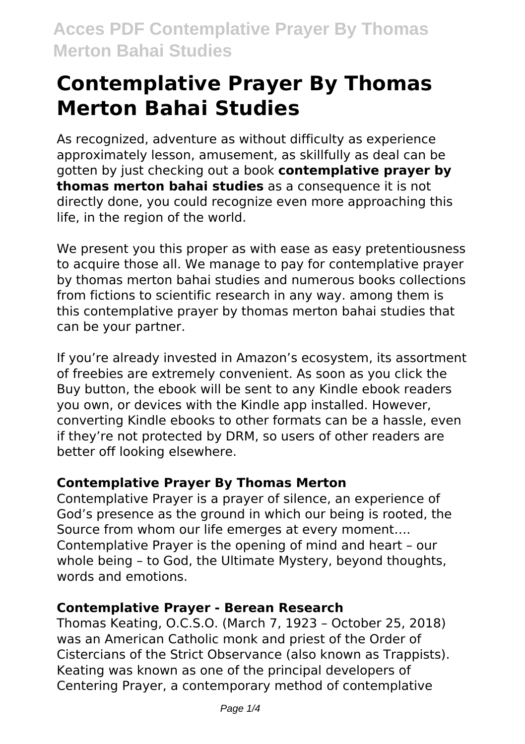# **Contemplative Prayer By Thomas Merton Bahai Studies**

As recognized, adventure as without difficulty as experience approximately lesson, amusement, as skillfully as deal can be gotten by just checking out a book **contemplative prayer by thomas merton bahai studies** as a consequence it is not directly done, you could recognize even more approaching this life, in the region of the world.

We present you this proper as with ease as easy pretentiousness to acquire those all. We manage to pay for contemplative prayer by thomas merton bahai studies and numerous books collections from fictions to scientific research in any way. among them is this contemplative prayer by thomas merton bahai studies that can be your partner.

If you're already invested in Amazon's ecosystem, its assortment of freebies are extremely convenient. As soon as you click the Buy button, the ebook will be sent to any Kindle ebook readers you own, or devices with the Kindle app installed. However, converting Kindle ebooks to other formats can be a hassle, even if they're not protected by DRM, so users of other readers are better off looking elsewhere.

### **Contemplative Prayer By Thomas Merton**

Contemplative Prayer is a prayer of silence, an experience of God's presence as the ground in which our being is rooted, the Source from whom our life emerges at every moment…. Contemplative Prayer is the opening of mind and heart – our whole being – to God, the Ultimate Mystery, beyond thoughts, words and emotions.

### **Contemplative Prayer - Berean Research**

Thomas Keating, O.C.S.O. (March 7, 1923 – October 25, 2018) was an American Catholic monk and priest of the Order of Cistercians of the Strict Observance (also known as Trappists). Keating was known as one of the principal developers of Centering Prayer, a contemporary method of contemplative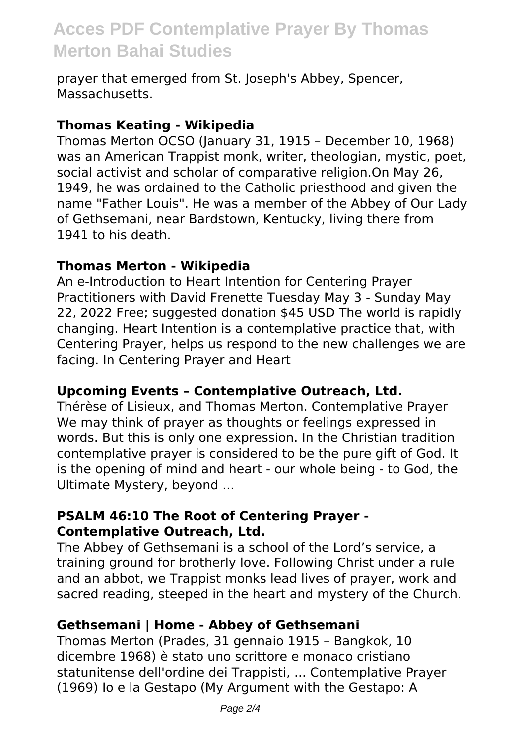## **Acces PDF Contemplative Prayer By Thomas Merton Bahai Studies**

prayer that emerged from St. Joseph's Abbey, Spencer, Massachusetts.

#### **Thomas Keating - Wikipedia**

Thomas Merton OCSO (January 31, 1915 – December 10, 1968) was an American Trappist monk, writer, theologian, mystic, poet, social activist and scholar of comparative religion.On May 26, 1949, he was ordained to the Catholic priesthood and given the name "Father Louis". He was a member of the Abbey of Our Lady of Gethsemani, near Bardstown, Kentucky, living there from 1941 to his death.

### **Thomas Merton - Wikipedia**

An e-Introduction to Heart Intention for Centering Prayer Practitioners with David Frenette Tuesday May 3 - Sunday May 22, 2022 Free; suggested donation \$45 USD The world is rapidly changing. Heart Intention is a contemplative practice that, with Centering Prayer, helps us respond to the new challenges we are facing. In Centering Prayer and Heart

### **Upcoming Events – Contemplative Outreach, Ltd.**

Thérèse of Lisieux, and Thomas Merton. Contemplative Prayer We may think of prayer as thoughts or feelings expressed in words. But this is only one expression. In the Christian tradition contemplative prayer is considered to be the pure gift of God. It is the opening of mind and heart - our whole being - to God, the Ultimate Mystery, beyond ...

### **PSALM 46:10 The Root of Centering Prayer - Contemplative Outreach, Ltd.**

The Abbey of Gethsemani is a school of the Lord's service, a training ground for brotherly love. Following Christ under a rule and an abbot, we Trappist monks lead lives of prayer, work and sacred reading, steeped in the heart and mystery of the Church.

### **Gethsemani | Home - Abbey of Gethsemani**

Thomas Merton (Prades, 31 gennaio 1915 – Bangkok, 10 dicembre 1968) è stato uno scrittore e monaco cristiano statunitense dell'ordine dei Trappisti, ... Contemplative Prayer (1969) Io e la Gestapo (My Argument with the Gestapo: A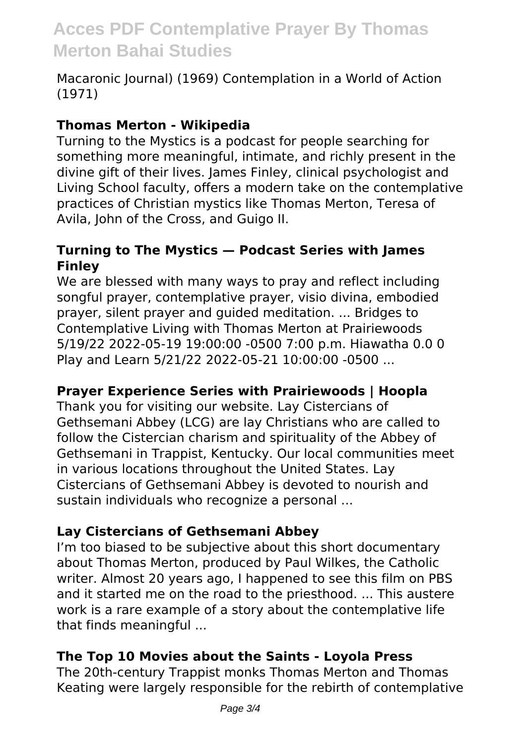# **Acces PDF Contemplative Prayer By Thomas Merton Bahai Studies**

Macaronic Journal) (1969) Contemplation in a World of Action (1971)

### **Thomas Merton - Wikipedia**

Turning to the Mystics is a podcast for people searching for something more meaningful, intimate, and richly present in the divine gift of their lives. James Finley, clinical psychologist and Living School faculty, offers a modern take on the contemplative practices of Christian mystics like Thomas Merton, Teresa of Avila, John of the Cross, and Guigo II.

### **Turning to The Mystics — Podcast Series with James Finley**

We are blessed with many ways to pray and reflect including songful prayer, contemplative prayer, visio divina, embodied prayer, silent prayer and guided meditation. ... Bridges to Contemplative Living with Thomas Merton at Prairiewoods 5/19/22 2022-05-19 19:00:00 -0500 7:00 p.m. Hiawatha 0.0 0 Play and Learn 5/21/22 2022-05-21 10:00:00 -0500 ...

### **Prayer Experience Series with Prairiewoods | Hoopla**

Thank you for visiting our website. Lay Cistercians of Gethsemani Abbey (LCG) are lay Christians who are called to follow the Cistercian charism and spirituality of the Abbey of Gethsemani in Trappist, Kentucky. Our local communities meet in various locations throughout the United States. Lay Cistercians of Gethsemani Abbey is devoted to nourish and sustain individuals who recognize a personal ...

### **Lay Cistercians of Gethsemani Abbey**

I'm too biased to be subjective about this short documentary about Thomas Merton, produced by Paul Wilkes, the Catholic writer. Almost 20 years ago, I happened to see this film on PBS and it started me on the road to the priesthood. ... This austere work is a rare example of a story about the contemplative life that finds meaningful ...

### **The Top 10 Movies about the Saints - Loyola Press**

The 20th-century Trappist monks Thomas Merton and Thomas Keating were largely responsible for the rebirth of contemplative